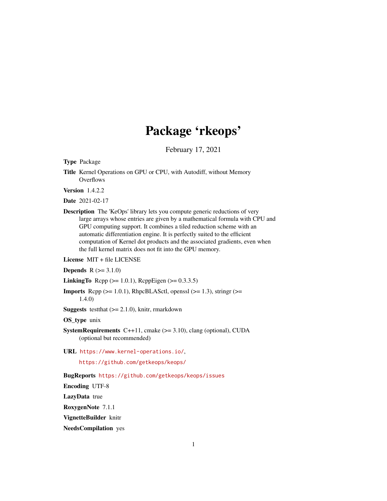# Package 'rkeops'

February 17, 2021

Type Package

Title Kernel Operations on GPU or CPU, with Autodiff, without Memory **Overflows** 

Version 1.4.2.2

Date 2021-02-17

Description The 'KeOps' library lets you compute generic reductions of very large arrays whose entries are given by a mathematical formula with CPU and GPU computing support. It combines a tiled reduction scheme with an automatic differentiation engine. It is perfectly suited to the efficient computation of Kernel dot products and the associated gradients, even when the full kernel matrix does not fit into the GPU memory.

License MIT + file LICENSE

**Depends**  $R (= 3.1.0)$ 

**LinkingTo** Rcpp ( $>= 1.0.1$ ), RcppEigen ( $>= 0.3.3.5$ )

**Imports** Rcpp  $(>= 1.0.1)$ , RhpcBLASctl, openssl  $(>= 1.3)$ , stringr  $(>= 1.3)$ 1.4.0)

**Suggests** testthat  $(>= 2.1.0)$ , knitr, rmarkdown

OS\_type unix

**SystemRequirements** C++11, cmake  $(>= 3.10)$ , clang (optional), CUDA (optional but recommended)

URL <https://www.kernel-operations.io/>,

<https://github.com/getkeops/keops/>

BugReports <https://github.com/getkeops/keops/issues>

Encoding UTF-8

LazyData true

RoxygenNote 7.1.1

VignetteBuilder knitr

NeedsCompilation yes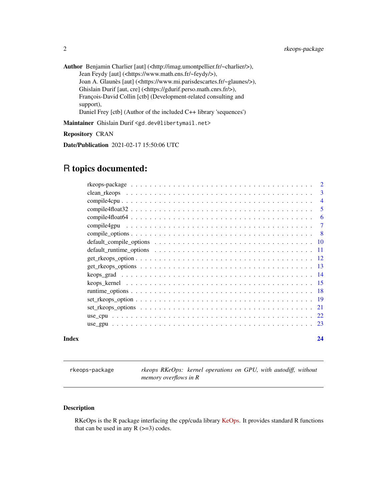<span id="page-1-0"></span>Author Benjamin Charlier [aut] (<http://imag.umontpellier.fr/~charlier/>), Jean Feydy [aut] (<https://www.math.ens.fr/~feydy/>), Joan A. Glaunès [aut] (<https://www.mi.parisdescartes.fr/~glaunes/>), Ghislain Durif [aut, cre] (<https://gdurif.perso.math.cnrs.fr/>), François-David Collin [ctb] (Development-related consulting and support), Daniel Frey [ctb] (Author of the included C++ library 'sequences')

Maintainer Ghislain Durif <gd.dev@libertymail.net>

Repository CRAN

Date/Publication 2021-02-17 15:50:06 UTC

# R topics documented:

|       | $\overline{2}$ |
|-------|----------------|
|       | 3              |
|       | $\overline{4}$ |
|       | -5             |
|       | -6             |
|       | -7             |
|       | - 8            |
|       |                |
|       |                |
|       |                |
|       |                |
|       |                |
|       |                |
|       |                |
|       |                |
|       |                |
|       |                |
|       |                |
| Index | 24             |

rkeops-package *rkeops RKeOps: kernel operations on GPU, with autodiff, without memory overflows in R*

# Description

RKeOps is the R package interfacing the cpp/cuda library [KeOps.](https://www.kernel-operations.io/) It provides standard R functions that can be used in any  $R$  ( $>=$ 3) codes.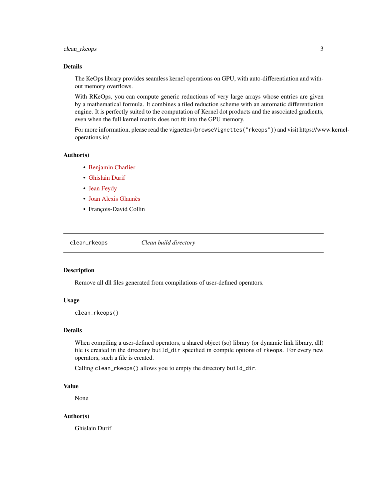# <span id="page-2-0"></span>clean\_rkeops 3

#### Details

The KeOps library provides seamless kernel operations on GPU, with auto-differentiation and without memory overflows.

With RKeOps, you can compute generic reductions of very large arrays whose entries are given by a mathematical formula. It combines a tiled reduction scheme with an automatic differentiation engine. It is perfectly suited to the computation of Kernel dot products and the associated gradients, even when the full kernel matrix does not fit into the GPU memory.

For more information, please read the vignettes (browseVignettes("rkeops")) and visit https://www.kerneloperations.io/.

# Author(s)

- [Benjamin Charlier](http://imag.umontpellier.fr/~charlier/)
- [Ghislain Durif](https://gdurif.perso.math.cnrs.fr/)
- [Jean Feydy](https://www.math.ens.fr/~feydy/)
- [Joan Alexis Glaunès](http://helios.mi.parisdescartes.fr/~glaunes/)
- François-David Collin

clean\_rkeops *Clean build directory*

#### Description

Remove all dll files generated from compilations of user-defined operators.

# Usage

clean\_rkeops()

#### Details

When compiling a user-defined operators, a shared object (so) library (or dynamic link library, dll) file is created in the directory build\_dir specified in compile options of rkeops. For every new operators, such a file is created.

Calling clean\_rkeops() allows you to empty the directory build\_dir.

### Value

None

# Author(s)

Ghislain Durif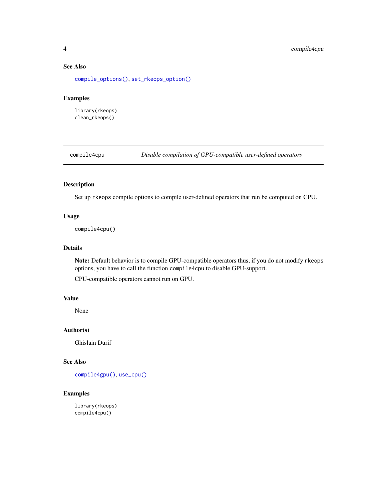# See Also

[compile\\_options\(\)](#page-7-1), [set\\_rkeops\\_option\(\)](#page-18-1)

# Examples

library(rkeops) clean\_rkeops()

<span id="page-3-1"></span>compile4cpu *Disable compilation of GPU-compatible user-defined operators*

# Description

Set up rkeops compile options to compile user-defined operators that run be computed on CPU.

# Usage

compile4cpu()

# Details

Note: Default behavior is to compile GPU-compatible operators thus, if you do not modify rkeops options, you have to call the function compile4cpu to disable GPU-support.

CPU-compatible operators cannot run on GPU.

# Value

None

# Author(s)

Ghislain Durif

# See Also

[compile4gpu\(\)](#page-6-1), [use\\_cpu\(\)](#page-21-1)

# Examples

library(rkeops) compile4cpu()

<span id="page-3-0"></span>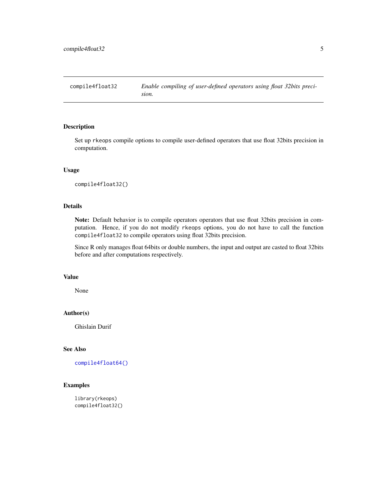<span id="page-4-1"></span><span id="page-4-0"></span>compile4float32 *Enable compiling of user-defined operators using float 32bits precision.*

# Description

Set up rkeops compile options to compile user-defined operators that use float 32bits precision in computation.

# Usage

```
compile4float32()
```
# Details

Note: Default behavior is to compile operators operators that use float 32bits precision in computation. Hence, if you do not modify rkeops options, you do not have to call the function compile4float32 to compile operators using float 32bits precision.

Since R only manages float 64bits or double numbers, the input and output are casted to float 32bits before and after computations respectively.

#### Value

None

# Author(s)

Ghislain Durif

# See Also

[compile4float64\(\)](#page-5-1)

# Examples

```
library(rkeops)
compile4float32()
```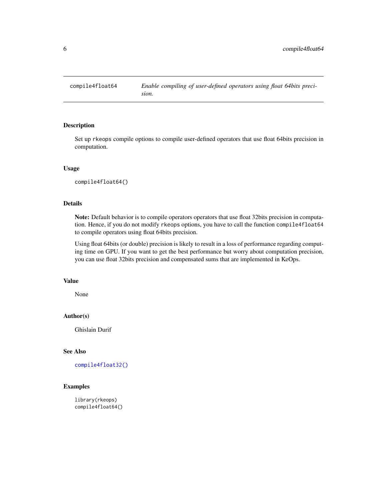<span id="page-5-1"></span><span id="page-5-0"></span>

Set up rkeops compile options to compile user-defined operators that use float 64bits precision in computation.

#### Usage

compile4float64()

# Details

Note: Default behavior is to compile operators operators that use float 32bits precision in computation. Hence, if you do not modify rkeops options, you have to call the function compile4float64 to compile operators using float 64bits precision.

Using float 64bits (or double) precision is likely to result in a loss of performance regarding computing time on GPU. If you want to get the best performance but worry about computation precision, you can use float 32bits precision and compensated sums that are implemented in KeOps.

#### Value

None

# Author(s)

Ghislain Durif

# See Also

[compile4float32\(\)](#page-4-1)

# Examples

library(rkeops) compile4float64()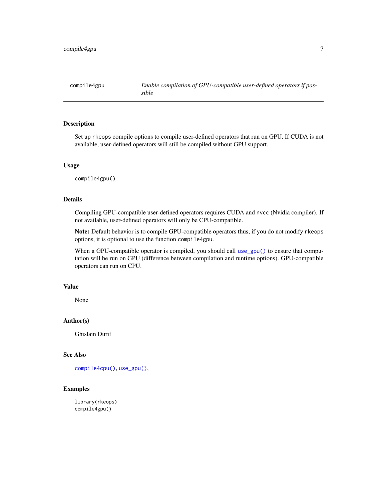<span id="page-6-1"></span><span id="page-6-0"></span>

Set up rkeops compile options to compile user-defined operators that run on GPU. If CUDA is not available, user-defined operators will still be compiled without GPU support.

# Usage

compile4gpu()

# Details

Compiling GPU-compatible user-defined operators requires CUDA and nvcc (Nvidia compiler). If not available, user-defined operators will only be CPU-compatible.

Note: Default behavior is to compile GPU-compatible operators thus, if you do not modify rkeops options, it is optional to use the function compile4gpu.

When a GPU-compatible operator is compiled, you should call [use\\_gpu\(\)](#page-22-1) to ensure that computation will be run on GPU (difference between compilation and runtime options). GPU-compatible operators can run on CPU.

# Value

None

# Author(s)

Ghislain Durif

# See Also

[compile4cpu\(\)](#page-3-1), [use\\_gpu\(\)](#page-22-1),

# Examples

library(rkeops) compile4gpu()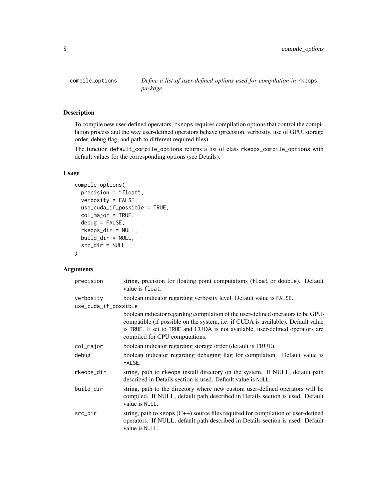<span id="page-7-1"></span><span id="page-7-0"></span>

To compile new user-defined operators, rkeops requires compilation options that control the compilation process and the way user-defined operators behave (precision, verbosity, use of GPU, storage order, debug flag, and path to different required files).

The function default\_compile\_options returns a list of class rkeops\_compile\_options with default values for the corresponding options (see Details).

#### Usage

```
compile_options(
 precision = "float",
  verbosity = FALSE,
 use_cuda_if_possible = TRUE,
  col_major = TRUE,
  debug = FALSE,
  rkeops_dir = NULL,
 build_dir = NULL,
  src_dir = NULL
)
```
# Arguments

| precision            | string, precision for floating point computations (float or double). Default<br>value is float.                                                                                                                                                                                         |
|----------------------|-----------------------------------------------------------------------------------------------------------------------------------------------------------------------------------------------------------------------------------------------------------------------------------------|
| verbosity            | boolean indicator regarding verbosity level. Default value is FALSE.                                                                                                                                                                                                                    |
| use_cuda_if_possible |                                                                                                                                                                                                                                                                                         |
|                      | boolean indicator regarding compilation of the user-defined operators to be GPU-<br>compatible (if possible on the system, i.e. if CUDA is available). Default value<br>is TRUE. If set to TRUE and CUDA is not available, user-defined operators are<br>compiled for CPU computations. |
| col_major            | boolean indicator regarding storage order (default is TRUE).                                                                                                                                                                                                                            |
| debug                | boolean indicator regarding debuging flag for compilation. Default value is<br>FALSE.                                                                                                                                                                                                   |
| rkeops_dir           | string, path to rkeops install directory on the system. If NULL, default path<br>described in Details section is used. Default value is NULL.                                                                                                                                           |
| build_dir            | string, path to the directory where new custom user-defined operators will be<br>compiled. If NULL, default path described in Details section is used. Default<br>value is NULL.                                                                                                        |
| src_dir              | string, path to keops $(C++)$ source files required for compilation of user-defined<br>operators. If NULL, default path described in Details section is used. Default<br>value is NULL.                                                                                                 |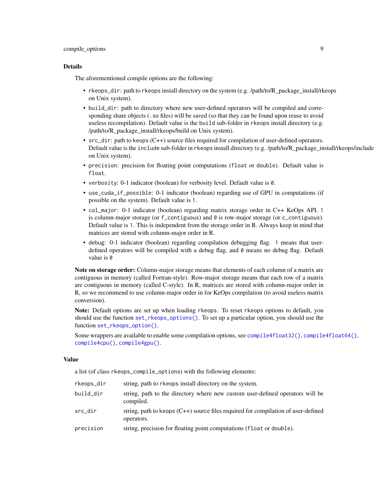#### <span id="page-8-0"></span>Details

The aforementioned compile options are the following:

- rkeops\_dir: path to rkeops install directory on the system (e.g. /path/to/R\_package\_install/rkeops on Unix system).
- build\_dir: path to directory where new user-defined operators will be compiled and corresponding share objects (. so files) will be saved (so that they can be found upon reuse to avoid useless recompilation). Default value is the build sub-folder in rkeops install directory (e.g. /path/to/R\_package\_install/rkeops/build on Unix system).
- src\_dir: path to keops (C++) source files required for compilation of user-defined operators. Default value is the include sub-folder in rkeops install directory (e.g. /path/to/R\_package\_install/rkeops/include on Unix system).
- precision: precision for floating point computations (float or double). Default value is float.
- verbosity: 0-1 indicator (boolean) for verbosity level. Default value is 0.
- use\_cuda\_if\_possible: 0-1 indicator (boolean) regarding use of GPU in computations (if possible on the system). Default value is 1.
- col\_major: 0-1 indicator (boolean) regarding matrix storage order in C++ KeOps API. 1 is column-major storage (or f\_contiguous) and 0 is row-major storage (or c\_contiguous). Default value is 1. This is independent from the storage order in R. Always keep in mind that matrices are stored with column-major order in R.
- debug: 0-1 indicator (boolean) regarding compilation debugging flag. 1 means that userdefined operators will be compiled with a debug flag, and 0 means no debug flag. Default value is 0

Note on storage order: Column-major storage means that elements of each column of a matrix are contiguous in memory (called Fortran-style). Row-major storage means that each row of a matrix are contiguous in memory (called C-style). In R, matrices are stored with column-major order in R, so we recommend to use column-major order in for KeOps compilation (to avoid useless matrix conversion).

Note: Default options are set up when loading rkeops. To reset rkeops options to default, you should use the function [set\\_rkeops\\_options\(\)](#page-20-1). To set up a particular option, you should use the function [set\\_rkeops\\_option\(\)](#page-18-1).

Some wrappers are available to enable some compilation options, see [compile4float32\(\)](#page-4-1), [compile4float64\(\)](#page-5-1), [compile4cpu\(\)](#page-3-1), [compile4gpu\(\)](#page-6-1).

# Value

a list (of class rkeops\_compile\_options) with the following elements:

| rkeops_dir | string, path to rkeops install directory on the system.                                           |
|------------|---------------------------------------------------------------------------------------------------|
| build_dir  | string, path to the directory where new custom user-defined operators will be<br>compiled.        |
| src_dir    | string, path to keops $(C++)$ source files required for compilation of user-defined<br>operators. |
| precision  | string, precision for floating point computations (float or double).                              |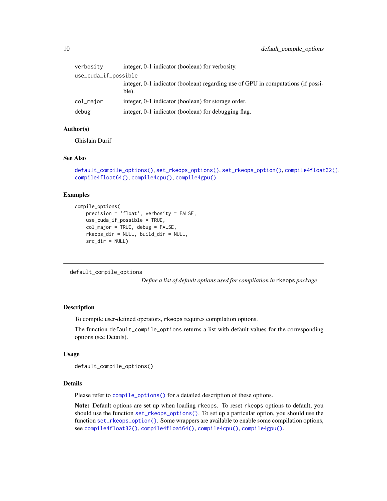<span id="page-9-0"></span>

| verbosity            | integer, 0-1 indicator (boolean) for verbosity.                                           |  |
|----------------------|-------------------------------------------------------------------------------------------|--|
| use_cuda_if_possible |                                                                                           |  |
|                      | integer, 0-1 indicator (boolean) regarding use of GPU in computations (if possi-<br>ble). |  |
| col_major            | integer, 0-1 indicator (boolean) for storage order.                                       |  |
| debug                | integer, 0-1 indicator (boolean) for debugging flag.                                      |  |

# Author(s)

Ghislain Durif

#### See Also

```
default_compile_options(), set_rkeops_options(), set_rkeops_option(), compile4float32(),
compile4float64(), compile4cpu(), compile4gpu()
```
# Examples

```
compile_options(
   precision = 'float', verbosity = FALSE,
   use_cuda_if_possible = TRUE,
   col_major = TRUE, debug = FALSE,
   rkeops_dir = NULL, build_dir = NULL,
   src_dir = NULL)
```
<span id="page-9-1"></span>default\_compile\_options

*Define a list of default options used for compilation in* rkeops *package*

#### Description

To compile user-defined operators, rkeops requires compilation options.

The function default\_compile\_options returns a list with default values for the corresponding options (see Details).

# Usage

```
default_compile_options()
```
# Details

Please refer to [compile\\_options\(\)](#page-7-1) for a detailed description of these options.

Note: Default options are set up when loading rkeops. To reset rkeops options to default, you should use the function [set\\_rkeops\\_options\(\)](#page-20-1). To set up a particular option, you should use the function [set\\_rkeops\\_option\(\)](#page-18-1). Some wrappers are available to enable some compilation options, see [compile4float32\(\)](#page-4-1), [compile4float64\(\)](#page-5-1), [compile4cpu\(\)](#page-3-1), [compile4gpu\(\)](#page-6-1).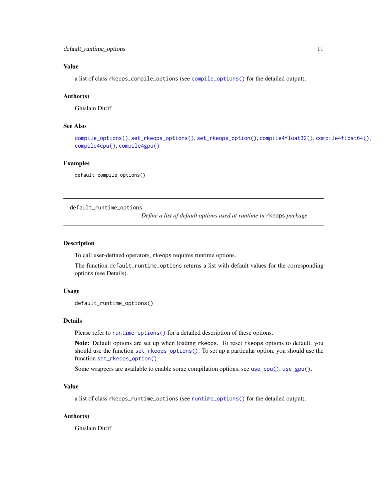# <span id="page-10-0"></span>Value

a list of class rkeops\_compile\_options (see [compile\\_options\(\)](#page-7-1) for the detailed output).

# Author(s)

Ghislain Durif

# See Also

```
compile_options(), set_rkeops_options(), set_rkeops_option(), compile4float32(), compile4float64(),
compile4cpu(), compile4gpu()
```
# Examples

default\_compile\_options()

<span id="page-10-1"></span>default\_runtime\_options

*Define a list of default options used at runtime in* rkeops *package*

# Description

To call user-defined operators, rkeops requires runtime options.

The function default\_runtime\_options returns a list with default values for the corresponding options (see Details).

#### Usage

```
default_runtime_options()
```
#### Details

Please refer to [runtime\\_options\(\)](#page-17-1) for a detailed description of these options.

Note: Default options are set up when loading rkeops. To reset rkeops options to default, you should use the function [set\\_rkeops\\_options\(\)](#page-20-1). To set up a particular option, you should use the function [set\\_rkeops\\_option\(\)](#page-18-1).

Some wrappers are available to enable some compilation options, see [use\\_cpu\(\)](#page-21-1), [use\\_gpu\(\)](#page-22-1).

# Value

a list of class rkeops\_runtime\_options (see [runtime\\_options\(\)](#page-17-1) for the detailed output).

# Author(s)

Ghislain Durif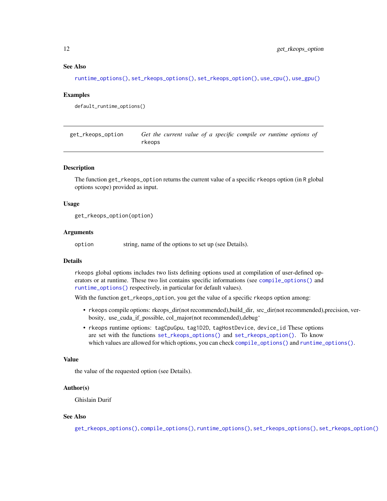### <span id="page-11-0"></span>See Also

[runtime\\_options\(\)](#page-17-1), [set\\_rkeops\\_options\(\)](#page-20-1), [set\\_rkeops\\_option\(\)](#page-18-1), [use\\_cpu\(\)](#page-21-1), [use\\_gpu\(\)](#page-22-1)

# Examples

```
default_runtime_options()
```
<span id="page-11-1"></span>get\_rkeops\_option *Get the current value of a specific compile or runtime options of* rkeops

# Description

The function get\_rkeops\_option returns the current value of a specific rkeops option (in R global options scope) provided as input.

#### Usage

get\_rkeops\_option(option)

# Arguments

option string, name of the options to set up (see Details).

# Details

rkeops global options includes two lists defining options used at compilation of user-defined operators or at runtime. These two list contains specific informations (see [compile\\_options\(\)](#page-7-1) and [runtime\\_options\(\)](#page-17-1) respectively, in particular for default values).

With the function get\_rkeops\_option, you get the value of a specific rkeops option among:

- rkeops compile options: rkeops\_dir(not recommended),build\_dir, src\_dir(not recommended),precision, verbosity, use\_cuda\_if\_possible, col\_major(not recommended),debug'
- rkeops runtime options: tagCpuGpu, tag1D2D, tagHostDevice, device\_id These options are set with the functions [set\\_rkeops\\_options\(\)](#page-20-1) and [set\\_rkeops\\_option\(\)](#page-18-1). To know which values are allowed for which options, you can check [compile\\_options\(\)](#page-7-1) and [runtime\\_options\(\)](#page-17-1).

# Value

the value of the requested option (see Details).

#### Author(s)

Ghislain Durif

# See Also

[get\\_rkeops\\_options\(\)](#page-12-1), [compile\\_options\(\)](#page-7-1), [runtime\\_options\(\)](#page-17-1), [set\\_rkeops\\_options\(\)](#page-20-1), [set\\_rkeops\\_option\(\)](#page-18-1)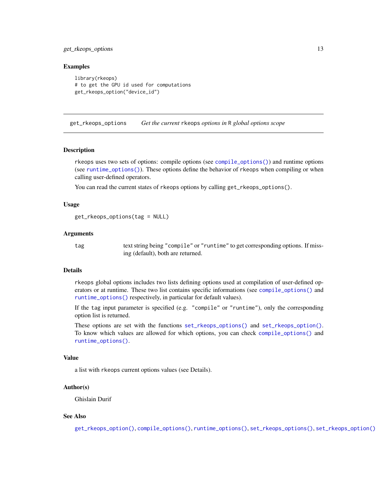# <span id="page-12-0"></span>get\_rkeops\_options 13

# Examples

```
library(rkeops)
# to get the GPU id used for computations
get_rkeops_option("device_id")
```
<span id="page-12-1"></span>get\_rkeops\_options *Get the current* rkeops *options in* R *global options scope*

#### Description

rkeops uses two sets of options: compile options (see [compile\\_options\(\)](#page-7-1)) and runtime options (see [runtime\\_options\(\)](#page-17-1)). These options define the behavior of rkeops when compiling or when calling user-defined operators.

You can read the current states of rkeops options by calling get\_rkeops\_options().

#### Usage

```
get_rkeops_options(tag = NULL)
```
#### Arguments

tag text string being "compile" or "runtime" to get corresponding options. If missing (default), both are returned.

#### Details

rkeops global options includes two lists defining options used at compilation of user-defined operators or at runtime. These two list contains specific informations (see [compile\\_options\(\)](#page-7-1) and [runtime\\_options\(\)](#page-17-1) respectively, in particular for default values).

If the tag input parameter is specified (e.g. "compile" or "runtime"), only the corresponding option list is returned.

These options are set with the functions [set\\_rkeops\\_options\(\)](#page-20-1) and [set\\_rkeops\\_option\(\)](#page-18-1). To know which values are allowed for which options, you can check [compile\\_options\(\)](#page-7-1) and [runtime\\_options\(\)](#page-17-1).

# Value

a list with rkeops current options values (see Details).

# Author(s)

Ghislain Durif

#### See Also

[get\\_rkeops\\_option\(\)](#page-11-1), [compile\\_options\(\)](#page-7-1), [runtime\\_options\(\)](#page-17-1), [set\\_rkeops\\_options\(\)](#page-20-1), [set\\_rkeops\\_option\(\)](#page-18-1)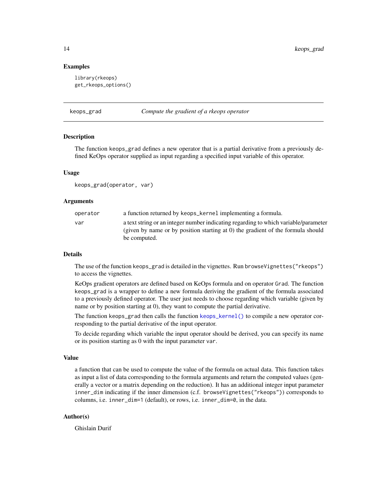### Examples

```
library(rkeops)
get_rkeops_options()
```
#### <span id="page-13-1"></span>keops\_grad *Compute the gradient of a rkeops operator*

#### **Description**

The function keops\_grad defines a new operator that is a partial derivative from a previously defined KeOps operator supplied as input regarding a specified input variable of this operator.

#### Usage

```
keops_grad(operator, var)
```
### Arguments

| operator | a function returned by keops_kernel implementing a formula.                                                                                                                            |
|----------|----------------------------------------------------------------------------------------------------------------------------------------------------------------------------------------|
| var      | a text string or an integer number indicating regarding to which variable/parameter<br>(given by name or by position starting at 0) the gradient of the formula should<br>be computed. |

# Details

The use of the function keops\_grad is detailed in the vignettes. Run browseVignettes("rkeops") to access the vignettes.

KeOps gradient operators are defined based on KeOps formula and on operator Grad. The function keops\_grad is a wrapper to define a new formula deriving the gradient of the formula associated to a previously defined operator. The user just needs to choose regarding which variable (given by name or by position starting at 0), they want to compute the partial derivative.

The function keops\_grad then calls the function [keops\\_kernel\(\)](#page-14-1) to compile a new operator corresponding to the partial derivative of the input operator.

To decide regarding which variable the input operator should be derived, you can specify its name or its position starting as 0 with the input parameter var.

# Value

a function that can be used to compute the value of the formula on actual data. This function takes as input a list of data corresponding to the formula arguments and return the computed values (generally a vector or a matrix depending on the reduction). It has an additional integer input parameter inner\_dim indicating if the inner dimension (c.f. browseVignettes("rkeops")) corresponds to columns, i.e. inner\_dim=1 (default), or rows, i.e. inner\_dim=0, in the data.

# Author(s)

Ghislain Durif

<span id="page-13-0"></span>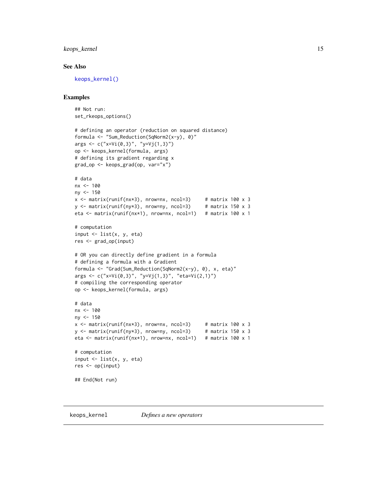# <span id="page-14-0"></span>keops\_kernel 15

# See Also

[keops\\_kernel\(\)](#page-14-1)

# Examples

```
## Not run:
set_rkeops_options()
# defining an operator (reduction on squared distance)
formula <- "Sum_Reduction(SqNorm2(x-y), 0)"
args <- c("x=Vi(0,3)", "y=Vj(1,3)")
op <- keops_kernel(formula, args)
# defining its gradient regarding x
grad_op <- keops_grad(op, var="x")
# data
nx <- 100
ny < -150x \le matrix(runif(nx*3), nrow=nx, ncol=3) # matrix 100 x 3
y \le - matrix(runif(ny*3), nrow=ny, ncol=3) # matrix 150 x 3
eta <- matrix(runif(nx*1), nrow=nx, ncol=1) # matrix 100 x 1
# computation
input \leq list(x, y, eta)
res <- grad_op(input)
# OR you can directly define gradient in a formula
# defining a formula with a Gradient
formula <- "Grad(Sum_Reduction(SqNorm2(x-y), 0), x, eta)"
args <- c("x=Vi(0,3)", "y=Vj(1,3)", "eta=Vi(2,1)")
# compiling the corresponding operator
op <- keops_kernel(formula, args)
# data
nx <- 100
ny <- 150
x \le matrix(runif(nx*3), nrow=nx, ncol=3) # matrix 100 x 3
y \le matrix(runif(ny*3), nrow=ny, ncol=3) # matrix 150 x 3
eta <- matrix(runif(nx*1), nrow=nx, ncol=1) # matrix 100 x 1
# computation
input \leq list(x, y, eta)
res <- op(input)
## End(Not run)
```
<span id="page-14-1"></span>keops\_kernel *Defines a new operators*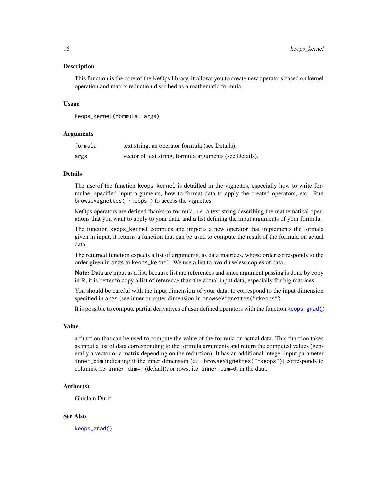<span id="page-15-0"></span>This function is the core of the KeOps library, it allows you to create new operators based on kernel operation and matrix reduction discribed as a mathematic formula.

#### Usage

```
keops_kernel(formula, args)
```
#### **Arguments**

| formula | text string, an operator formula (see Details).         |
|---------|---------------------------------------------------------|
| args    | vector of text string, formula arguments (see Details). |

# Details

The use of the function keops\_kernel is detailled in the vignettes, especially how to write formulae, specified input arguments, how to format data to apply the created operators, etc. Run browseVignettes("rkeops") to access the vignettes.

KeOps operators are defined thanks to formula, i.e. a text string describing the mathematical operations that you want to apply to your data, and a list defining the input arguments of your formula.

The function keops\_kernel compiles and imports a new operator that implements the formala given in input, it returns a function that can be used to compute the result of the formula on actual data.

The returned function expects a list of arguments, as data matrices, whose order corresponds to the order given in args to keops\_kernel. We use a list to avoid useless copies of data.

Note: Data are input as a list, because list are references and since argument passing is done by copy in R, it is better to copy a list of reference than the actual input data, especially for big matrices.

You should be careful with the input dimension of your data, to correspond to the input dimension specified in args (see inner ou outer dimension in browseVignettes("rkeops").

It is possible to compute partial derivatives of user defined operators with the function [keops\\_grad\(\)](#page-13-1).

#### Value

a function that can be used to compute the value of the formula on actual data. This function takes as input a list of data corresponding to the formula arguments and return the computed values (generally a vector or a matrix depending on the reduction). It has an additional integer input parameter inner\_dim indicating if the inner dimension (c.f. browseVignettes("rkeops")) corresponds to columns, i.e. inner\_dim=1 (default), or rows, i.e. inner\_dim=0, in the data.

# Author(s)

Ghislain Durif

#### See Also

[keops\\_grad\(\)](#page-13-1)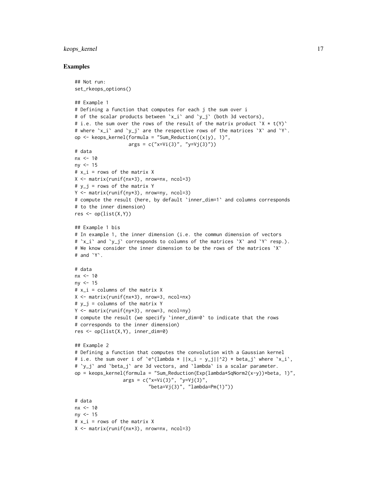# keops\_kernel 17

# Examples

```
## Not run:
set_rkeops_options()
## Example 1
# Defining a function that computes for each j the sum over i
# of the scalar products between `x_i` and `y_j` (both 3d vectors),
# i.e. the sum over the rows of the result of the matrix product X \times t(Y)# where `x_i` and `y_j` are the respective rows of the matrices `X` and `Y`.
op \leq keops_kernel(formula = "Sum_Reduction((x|y), 1)",
                   args = c("x=Vi(3)", "y=Vj(3)")# data
nx < -10ny < -15# x_i = rows of the matrix XX <- matrix(runif(nx*3), nrow=nx, ncol=3)
# y_j = rows of the matrix YY <- matrix(runif(ny*3), nrow=ny, ncol=3)
# compute the result (here, by default `inner_dim=1` and columns corresponds
# to the inner dimension)
res \leq op(list(X,Y))
## Example 1 bis
# In example 1, the inner dimension (i.e. the commun dimension of vectors
# `x_i` and `y_j` corresponds to columns of the matrices `X` and `Y` resp.).
# We know consider the inner dimension to be the rows of the matrices `X`
# and `Y`.
# data
nx < -10ny < -15# x_i = columns of the matrix X
X <- matrix(runif(nx*3), nrow=3, ncol=nx)
# y_j = \text{columns of the matrix } YY <- matrix(runif(ny*3), nrow=3, ncol=ny)
# compute the result (we specify `inner_dim=0` to indicate that the rows
# corresponds to the inner dimension)
res <- op(list(X,Y), inner_dim=0)
## Example 2
# Defining a function that computes the convolution with a Gaussian kernel
# i.e. the sum over i of `e^(lambda * ||x_i - y_j||^2) * beta_j` where `x_i`,
# `y_j` and `beta_j` are 3d vectors, and `lambda` is a scalar parameter.
op = keops_kernel(formula = "Sum_Reduction(Exp(lambda*SqNorm2(x-y))*beta, 1)",
                 args = c("x=Vi(3)", "y=Vj(3)","beta=Vj(3)", "lambda=Pm(1)"))
# data
nx < -10ny <- 15
# x_i = rows of the matrix X
X <- matrix(runif(nx*3), nrow=nx, ncol=3)
```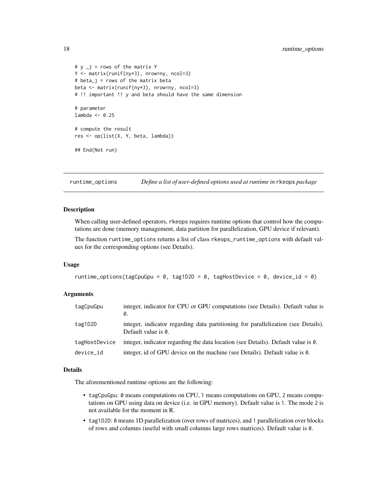```
# y_j = rows of the matrix YY <- matrix(runif(ny*3), nrow=ny, ncol=3)
# beta_j = rows of the matrix beta
beta <- matrix(runif(ny*3), nrow=ny, ncol=3)
# !! important !! y and beta should have the same dimension
# parameter
lambda <- 0.25
# compute the result
res <- op(list(X, Y, beta, lambda))
## End(Not run)
```
<span id="page-17-1"></span>runtime\_options *Define a list of user-defined options used at runtime in* rkeops *package*

#### Description

When calling user-defined operators, rkeops requires runtime options that control how the computations are done (memory management, data partition for parallelization, GPU device if relevant).

The function runtime\_options returns a list of class rkeops\_runtime\_options with default values for the corresponding options (see Details).

#### Usage

```
runtime_options(tagCpuGpu = 0, tag1D2D = 0, tagHostDevice = 0, device_id = 0)
```
# **Arguments**

| tagCpuGpu     | integer, indicator for CPU or GPU computations (see Details). Default value is<br>Ø.                     |
|---------------|----------------------------------------------------------------------------------------------------------|
| tag1D2D       | integer, indicator regarding data partitioning for parallelization (see Details).<br>Default value is 0. |
| tagHostDevice | integer, indicator regarding the data location (see Details). Default value is 0.                        |
| device_id     | integer, id of GPU device on the machine (see Details). Default value is 0.                              |

#### Details

The aforementioned runtime options are the following:

- tagCpuGpu: 0 means computations on CPU, 1 means computations on GPU, 2 means computations on GPU using data on device (i.e. in GPU memory). Default value is 1. The mode 2 is not available for the moment in R.
- tag1D2D: 0 means 1D parallelization (over rows of matrices), and 1 parallelization over blocks of rows and columns (useful with small columns large rows matrices). Default value is 0.

<span id="page-17-0"></span>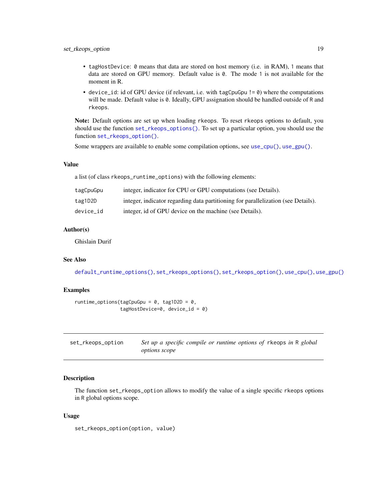- <span id="page-18-0"></span>• tagHostDevice: 0 means that data are stored on host memory (i.e. in RAM), 1 means that data are stored on GPU memory. Default value is 0. The mode 1 is not available for the moment in R.
- device\_id: id of GPU device (if relevant, i.e. with tagCpuGpu != 0) where the computations will be made. Default value is 0. Ideally, GPU assignation should be handled outside of R and rkeops.

Note: Default options are set up when loading rkeops. To reset rkeops options to default, you should use the function [set\\_rkeops\\_options\(\)](#page-20-1). To set up a particular option, you should use the function [set\\_rkeops\\_option\(\)](#page-18-1).

Some wrappers are available to enable some compilation options, see [use\\_cpu\(\)](#page-21-1), [use\\_gpu\(\)](#page-22-1).

# Value

a list (of class rkeops\_runtime\_options) with the following elements:

| tagCpuGpu | integer, indicator for CPU or GPU computations (see Details).                     |
|-----------|-----------------------------------------------------------------------------------|
| tag1D2D   | integer, indicator regarding data partitioning for parallelization (see Details). |
| device id | integer, id of GPU device on the machine (see Details).                           |

# Author(s)

Ghislain Durif

# See Also

[default\\_runtime\\_options\(\)](#page-10-1), [set\\_rkeops\\_options\(\)](#page-20-1), [set\\_rkeops\\_option\(\)](#page-18-1), [use\\_cpu\(\)](#page-21-1), [use\\_gpu\(\)](#page-22-1)

# Examples

```
runtime_options(tagCpuGpu = 0, tag1D2D = 0,
                tagHostDevice=0, device_id = 0)
```
<span id="page-18-1"></span>

| set_rkeops_option | Set up a specific compile or runtime options of rkeops in R global |
|-------------------|--------------------------------------------------------------------|
|                   | <i>options scope</i>                                               |

# Description

The function set\_rkeops\_option allows to modify the value of a single specific rkeops options in R global options scope.

#### Usage

set\_rkeops\_option(option, value)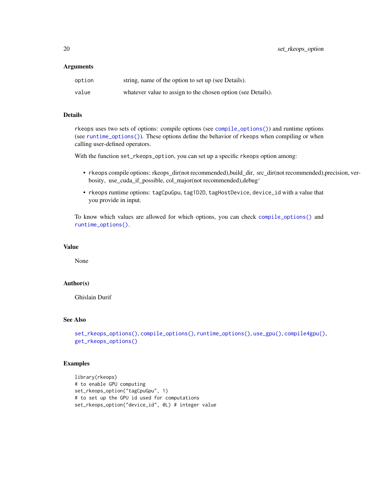#### <span id="page-19-0"></span>**Arguments**

| option | string, name of the option to set up (see Details).          |
|--------|--------------------------------------------------------------|
| value  | whatever value to assign to the chosen option (see Details). |

# Details

rkeops uses two sets of options: compile options (see [compile\\_options\(\)](#page-7-1)) and runtime options (see [runtime\\_options\(\)](#page-17-1)). These options define the behavior of rkeops when compiling or when calling user-defined operators.

With the function set\_rkeops\_option, you can set up a specific rkeops option among:

- rkeops compile options: rkeops\_dir(not recommended),build\_dir, src\_dir(not recommended),precision, verbosity, use\_cuda\_if\_possible, col\_major(not recommended),debug'
- rkeops runtime options: tagCpuGpu, tag1D2D, tagHostDevice, device\_id with a value that you provide in input.

To know which values are allowed for which options, you can check [compile\\_options\(\)](#page-7-1) and [runtime\\_options\(\)](#page-17-1).

# Value

None

# Author(s)

Ghislain Durif

# See Also

```
set_rkeops_options(), compile_options(), runtime_options(), use_gpu(), compile4gpu(),
get_rkeops_options()
```
# Examples

```
library(rkeops)
# to enable GPU computing
set_rkeops_option("tagCpuGpu", 1)
# to set up the GPU id used for computations
set_rkeops_option("device_id", 0L) # integer value
```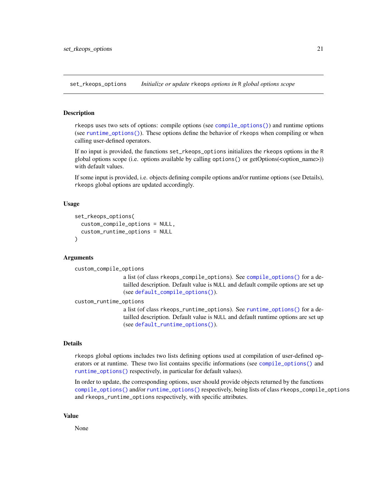<span id="page-20-1"></span><span id="page-20-0"></span>set\_rkeops\_options *Initialize or update* rkeops *options in* R *global options scope*

### Description

rkeops uses two sets of options: compile options (see [compile\\_options\(\)](#page-7-1)) and runtime options (see [runtime\\_options\(\)](#page-17-1)). These options define the behavior of rkeops when compiling or when calling user-defined operators.

If no input is provided, the functions set\_rkeops\_options initializes the rkeops options in the R global options scope (i.e. options available by calling options() or getOptions(<option\_name>)) with default values.

If some input is provided, i.e. objects defining compile options and/or runtime options (see Details), rkeops global options are updated accordingly.

#### Usage

```
set_rkeops_options(
  custom_compile_options = NULL,
  custom_runtime_options = NULL
\lambda
```
#### Arguments

```
custom_compile_options
```
a list (of class rkeops\_compile\_options). See [compile\\_options\(\)](#page-7-1) for a detailled description. Default value is NULL and default compile options are set up (see [default\\_compile\\_options\(\)](#page-9-1)).

custom\_runtime\_options

a list (of class rkeops\_runtime\_options). See [runtime\\_options\(\)](#page-17-1) for a detailled description. Default value is NULL and default runtime options are set up (see [default\\_runtime\\_options\(\)](#page-10-1)).

# Details

rkeops global options includes two lists defining options used at compilation of user-defined operators or at runtime. These two list contains specific informations (see [compile\\_options\(\)](#page-7-1) and [runtime\\_options\(\)](#page-17-1) respectively, in particular for default values).

In order to update, the corresponding options, user should provide objects returned by the functions [compile\\_options\(\)](#page-7-1) and/or [runtime\\_options\(\)](#page-17-1) respectively, being lists of class rkeops\_compile\_options and rkeops\_runtime\_options respectively, with specific attributes.

#### Value

None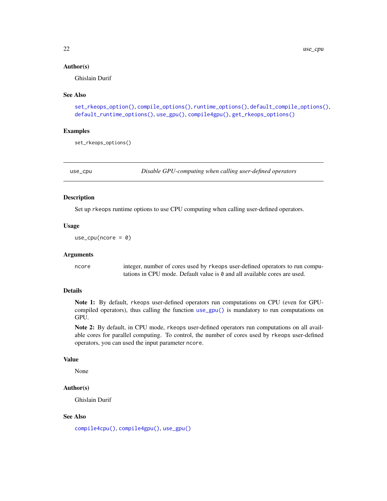#### <span id="page-21-0"></span>Author(s)

Ghislain Durif

#### See Also

```
set_rkeops_option(), compile_options(), runtime_options(), default_compile_options(),
default_runtime_options(), use_gpu(), compile4gpu(), get_rkeops_options()
```
#### Examples

set\_rkeops\_options()

<span id="page-21-1"></span>

use\_cpu *Disable GPU-computing when calling user-defined operators*

#### Description

Set up rkeops runtime options to use CPU computing when calling user-defined operators.

# Usage

use\_cpu(ncore =  $0$ )

#### Arguments

ncore integer, number of cores used by rkeops user-defined operators to run computations in CPU mode. Default value is 0 and all available cores are used.

#### Details

Note 1: By default, rkeops user-defined operators run computations on CPU (even for GPUcompiled operators), thus calling the function [use\\_gpu\(\)](#page-22-1) is mandatory to run computations on GPU.

Note 2: By default, in CPU mode, rkeops user-defined operators run computations on all available cores for parallel computing. To control, the number of cores used by rkeops user-defined operators, you can used the input parameter ncore.

# Value

None

# Author(s)

Ghislain Durif

#### See Also

[compile4cpu\(\)](#page-3-1), [compile4gpu\(\)](#page-6-1), [use\\_gpu\(\)](#page-22-1)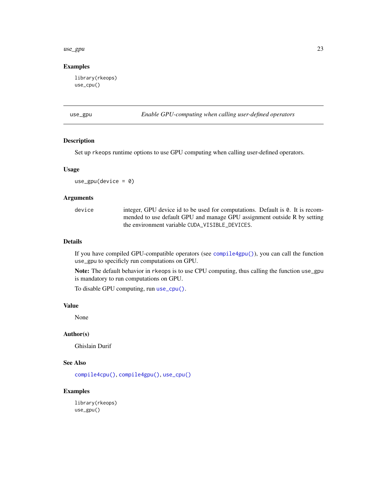#### <span id="page-22-0"></span>use\_gpu 23

#### Examples

library(rkeops) use\_cpu()

<span id="page-22-1"></span>use\_gpu *Enable GPU-computing when calling user-defined operators*

# Description

Set up rkeops runtime options to use GPU computing when calling user-defined operators.

#### Usage

 $use\_gpu(device = 0)$ 

# Arguments

device integer, GPU device id to be used for computations. Default is 0. It is recommended to use default GPU and manage GPU assignment outside R by setting the environment variable CUDA\_VISIBLE\_DEVICES.

#### Details

If you have compiled GPU-compatible operators (see [compile4gpu\(\)](#page-6-1)), you can call the function use\_gpu to specificly run computations on GPU.

Note: The default behavior in rkeops is to use CPU computing, thus calling the function use\_gpu is mandatory to run computations on GPU.

To disable GPU computing, run [use\\_cpu\(\)](#page-21-1).

#### Value

None

# Author(s)

Ghislain Durif

# See Also

[compile4cpu\(\)](#page-3-1), [compile4gpu\(\)](#page-6-1), [use\\_cpu\(\)](#page-21-1)

# Examples

library(rkeops) use\_gpu()